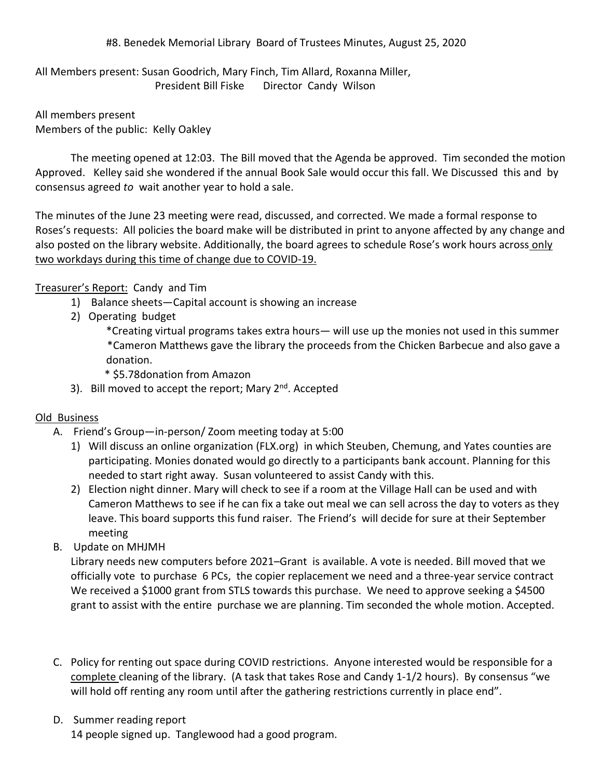## #8. Benedek Memorial Library Board of Trustees Minutes, August 25, 2020

All Members present: Susan Goodrich, Mary Finch, Tim Allard, Roxanna Miller, President Bill Fiske Director Candy Wilson

All members present Members of the public: Kelly Oakley

The meeting opened at 12:03. The Bill moved that the Agenda be approved. Tim seconded the motion Approved. Kelley said she wondered if the annual Book Sale would occur this fall. We Discussed this and by consensus agreed *to* wait another year to hold a sale.

The minutes of the June 23 meeting were read, discussed, and corrected. We made a formal response to Roses's requests: All policies the board make will be distributed in print to anyone affected by any change and also posted on the library website. Additionally, the board agrees to schedule Rose's work hours across only two workdays during this time of change due to COVID-19.

## Treasurer's Report: Candy and Tim

- 1) Balance sheets—Capital account is showing an increase
- 2) Operating budget

\*Creating virtual programs takes extra hours— will use up the monies not used in this summer \*Cameron Matthews gave the library the proceeds from the Chicken Barbecue and also gave a donation.

- \* \$5.78donation from Amazon
- 3). Bill moved to accept the report; Mary 2<sup>nd</sup>. Accepted

## Old Business

- A. Friend's Group—in-person/ Zoom meeting today at 5:00
	- 1) Will discuss an online organization (FLX.org) in which Steuben, Chemung, and Yates counties are participating. Monies donated would go directly to a participants bank account. Planning for this needed to start right away. Susan volunteered to assist Candy with this.
	- 2) Election night dinner. Mary will check to see if a room at the Village Hall can be used and with Cameron Matthews to see if he can fix a take out meal we can sell across the day to voters as they leave. This board supports this fund raiser. The Friend's will decide for sure at their September meeting
- B. Update on MHJMH

Library needs new computers before 2021–Grant is available. A vote is needed. Bill moved that we officially vote to purchase 6 PCs, the copier replacement we need and a three-year service contract We received a \$1000 grant from STLS towards this purchase. We need to approve seeking a \$4500 grant to assist with the entire purchase we are planning. Tim seconded the whole motion. Accepted.

- C. Policy for renting out space during COVID restrictions. Anyone interested would be responsible for a complete cleaning of the library. (A task that takes Rose and Candy 1-1/2 hours). By consensus "we will hold off renting any room until after the gathering restrictions currently in place end".
- D. Summer reading report 14 people signed up. Tanglewood had a good program.